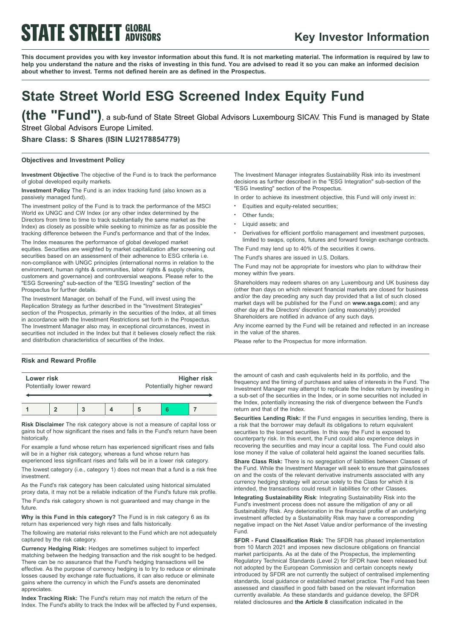## **STATE STREET GLOBAL**

### **Key Investor Information**

This document provides you with key investor information about this fund. It is not marketing material. The information is required by law to help you understand the nature and the risks of investing in this fund. You are advised to read it so you can make an informed decision **about whether to invest. Terms not defined herein are as defined in the Prospectus.**

## **State Street World ESG Screened Index Equity Fund**

**(the "Fund")**, <sup>a</sup> sub-fund of State Street Global Advisors Luxembourg SICAV. This Fund is managed by State Street Global Advisors Europe Limited.

**Share Class: S Shares (ISIN LU2178854779)**

#### **Objectives and Investment Policy**

**Investment Objective** The objective of the Fund is to track the performance of global developed equity markets.

**Investment Policy** The Fund is an index tracking fund (also known as a passively managed fund).

The investment policy of the Fund is to track the performance of the MSCI World ex UNGC and CW Index (or any other index determined by the Directors from time to time to track substantially the same market as the Index) as closely as possible while seeking to minimize as far as possible the tracking difference between the Fund's performance and that of the Index.

The Index measures the performance of global developed market equities. Securities are weighted by market capitalization after screening out securities based on an assessment of their adherence to ESG criteria i.e. non-compliance with UNGC principles (international norms in relation to the environment, human rights & communities, labor rights & supply chains, customers and governance) and controversial weapons. Please refer to the "ESG Screening" sub-section of the "ESG Investing" section of the Prospectus for further details.

The Investment Manager, on behalf of the Fund, will invest using the Replication Strategy as further described in the "Investment Strategies" section of the Prospectus, primarily in the securities of the Index, at all times in accordance with the Investment Restrictions set forth in the Prospectus. The Investment Manager also may, in exceptional circumstances, invest in securities not included in the Index but that it believes closely reflect the risk and distribution characteristics of securities of the Index.

### **Risk and Reward Profile**

| Lower risk<br>Potentially lower reward |  |  | <b>Higher risk</b><br>Potentially higher reward |  |  |
|----------------------------------------|--|--|-------------------------------------------------|--|--|
|                                        |  |  |                                                 |  |  |

**Risk Disclaimer** The risk category above is not a measure of capital loss or gains but of how significant the rises and falls in the Fund's return have been historically.

For example a fund whose return has experienced significant rises and falls will be in a higher risk category, whereas a fund whose return has experienced less significant rises and falls will be in a lower risk category.

The lowest category (i.e., category 1) does not mean that a fund is a risk free investment.

As the Fund's risk category has been calculated using historical simulated proxy data, it may not be a reliable indication of the Fund's future risk profile.

The Fund's risk category shown is not guaranteed and may change in the future.

**Why is this Fund in this category?** The Fund is in risk category 6 as its return has experienced very high rises and falls historically.

The following are material risks relevant to the Fund which are not adequately captured by the risk category.

**Currency Hedging Risk:** Hedges are sometimes subject to imperfect matching between the hedging transaction and the risk sought to be hedged. There can be no assurance that the Fund's hedging transactions will be effective. As the purpose of currency hedging is to try to reduce or eliminate losses caused by exchange rate fluctuations, it can also reduce or eliminate gains where the currency in which the Fund's assets are denominated appreciates.

**Index Tracking Risk:** The Fund's return may not match the return of the Index. The Fund's ability to track the Index will be affected by Fund expenses,

The Investment Manager integrates Sustainability Risk into its investment decisions as further described in the "ESG Integration" sub-section of the "ESG Investing" section of the Prospectus.

In order to achieve its investment objective, this Fund will only invest in:

- Equities and equity-related securities;
- Other funds:
- Liquid assets; and
- <sup>b</sup> Derivatives for efficient portfolio management and investment purposes, limited to swaps, options, futures and forward foreign exchange contracts.
- The Fund may lend up to 40% of the securities it owns.

The Fund's shares are issued in U.S. Dollars.

The Fund may not be appropriate for investors who plan to withdraw their money within five years.

Shareholders may redeem shares on any Luxembourg and UK business day (other than days on which relevant financial markets are closed for business and/or the day preceding any such day provided that a list of such closed market days will be published for the Fund on **www.ssga.com**); and any other day at the Directors' discretion (acting reasonably) provided Shareholders are notified in advance of any such days.

Any income earned by the Fund will be retained and reflected in an increase in the value of the shares.

Please refer to the Prospectus for more information.

the amount of cash and cash equivalents held in its portfolio, and the frequency and the timing of purchases and sales of interests in the Fund. The Investment Manager may attempt to replicate the Index return by investing in a sub-set of the securities in the Index, or in some securities not included in the Index, potentially increasing the risk of divergence between the Fund's return and that of the Index.

**Securities Lending Risk:** If the Fund engages in securities lending, there is a risk that the borrower may default its obligations to return equivalent securities to the loaned securities. In this way the Fund is exposed to counterparty risk. In this event, the Fund could also experience delays in recovering the securities and may incur a capital loss. The Fund could also lose money if the value of collateral held against the loaned securities falls.

**Share Class Risk:** There is no segregation of liabilities between Classes of the Fund. While the Investment Manager will seek to ensure that gains/losses on and the costs of the relevant derivative instruments associated with any currency hedging strategy will accrue solely to the Class for which it is intended, the transactions could result in liabilities for other Classes.

**Integrating Sustainability Risk**: Integrating Sustainability Risk into the Fund's investment process does not assure the mitigation of any or all Sustainability Risk. Any deterioration in the financial profile of an underlying investment affected by a Sustainability Risk may have a corresponding negative impact on the Net Asset Value and/or performance of the investing Fund.

**SFDR - Fund Classification Risk:** The SFDR has phased implementation from 10 March 2021 and imposes new disclosure obligations on financial market participants. As at the date of the Prospectus, the implementing Regulatory Technical Standards (Level 2) for SFDR have been released but not adopted by the European Commission and certain concepts newly introduced by SFDR are not currently the subject of centralised implementing standards, local guidance or established market practice. The Fund has been assessed and classified in good faith based on the relevant information currently available. As these standards and guidance develop, the SFDR related disclosures and **the Article 8** classification indicated in the